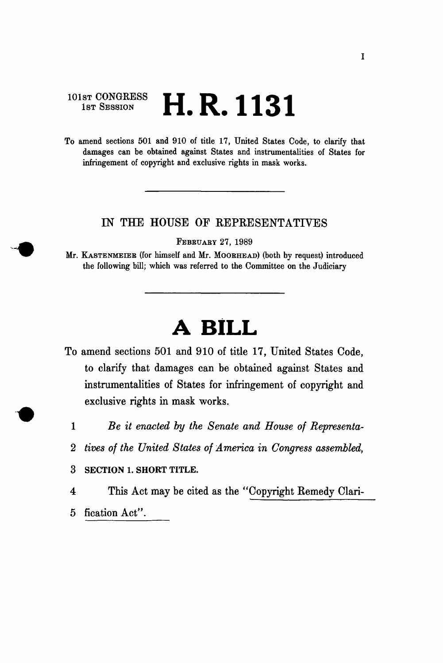$101$ st CONGRESS **LID** 1191 1st Session  $\blacksquare$ .  $\blacksquare$ .  $\blacksquare$ 

To amend sections 501 and 910 of title 17, United States Code, to clarify that damages can be obtained against States and instrumentalities of States for infringement of copyright and exclusive rights in mask works.

## IN THE HOUSE OF REPRESENTATIVES

FEBBUARY 27, 1989

Mr. KASTENMEIEB (for himself and Mr. MOOEHEAD) (both by request) introduced the following bill; which was referred to the Committee on the Judiciary

## **A BILL**

- To amend sections 501 and 910 of title 17, United States Code, to clarify that damages can be obtained against States and instrumentalities of States for infringement of copyright and exclusive rights in mask works.
	- 1 *Be it enacted by the Senate and House of Representa-*
	- 2 *tives of the United States of America in Congress assembled,*

3 SECTION 1. SHORT TITLE.

4 This Act may be cited as the "Copyright Remedy Clari-

5 fication Act".